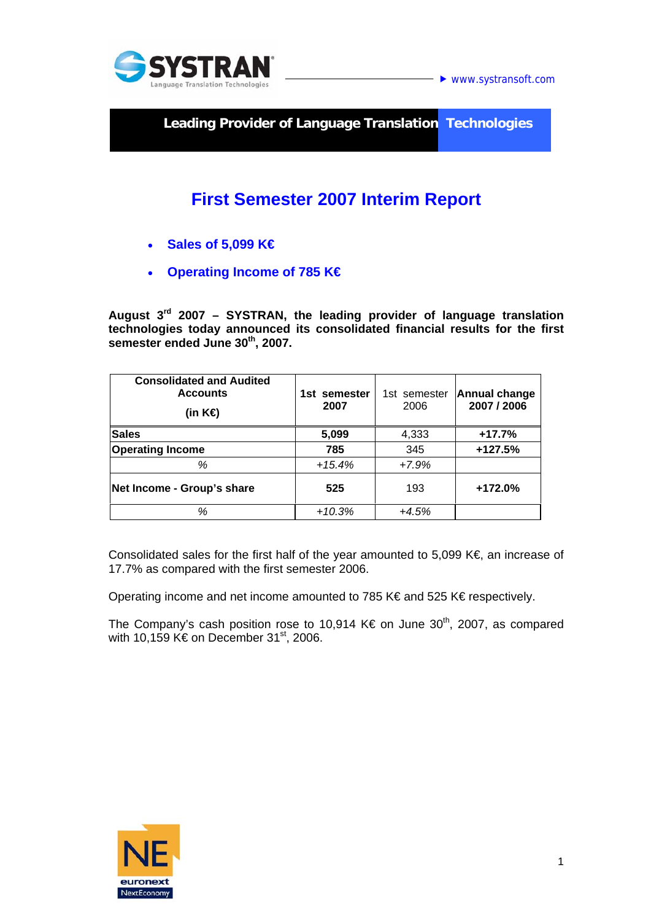

F www.systransoft.com

**Leading Provider of Language Translation Technologies** 

## **First Semester 2007 Interim Report**

- **Sales of 5,099 K€**
- **Operating Income of 785 K€**

**August 3rd 2007 – SYSTRAN, the leading provider of language translation technologies today announced its consolidated financial results for the first semester ended June 30th, 2007.** 

| <b>Consolidated and Audited</b><br><b>Accounts</b><br>(in K⊖ | 1st semester<br>2007 | 1st semester<br>2006 | <b>Annual change</b><br>2007 / 2006 |
|--------------------------------------------------------------|----------------------|----------------------|-------------------------------------|
| <b>Sales</b>                                                 | 5,099                | 4,333                | $+17.7%$                            |
| <b>Operating Income</b>                                      | 785                  | 345                  | $+127.5%$                           |
| %                                                            | $+15.4%$             | $+7.9%$              |                                     |
| Net Income - Group's share                                   | 525                  | 193                  | +172.0%                             |
| %                                                            | $+10.3%$             | $+4.5%$              |                                     |

Consolidated sales for the first half of the year amounted to 5,099 K€, an increase of 17.7% as compared with the first semester 2006.

Operating income and net income amounted to 785 K€ and 525 K€ respectively.

The Company's cash position rose to 10,914 K€ on June 30<sup>th</sup>, 2007, as compared with 10,159 K€ on December 31<sup>st</sup>, 2006.

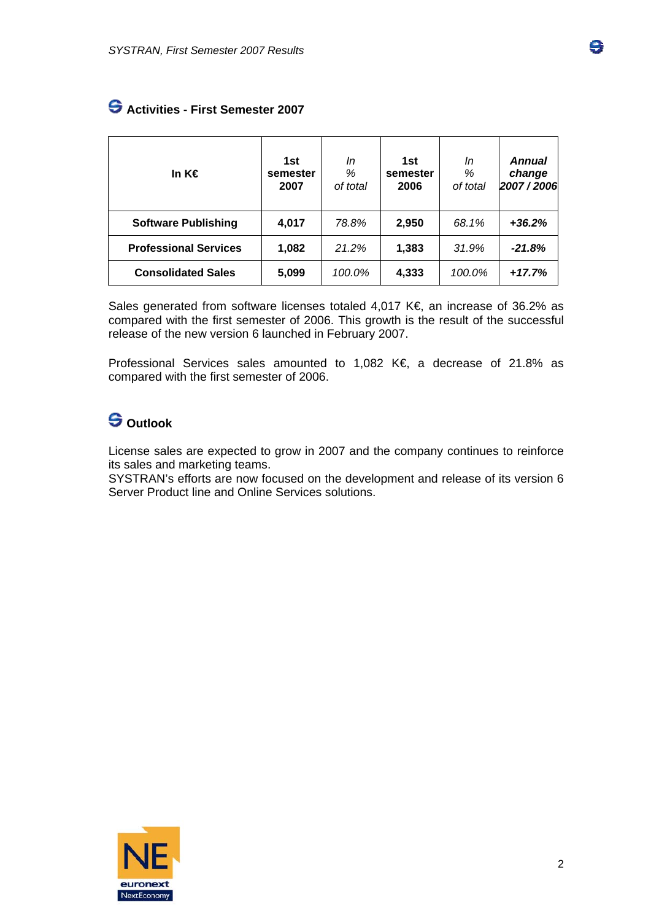## **Activities - First Semester 2007**

| In K€                        | 1st<br>semester<br>2007 | In<br>%<br>of total | 1st<br>semester<br>2006 | In<br>%<br>of total | <b>Annual</b><br>change<br>2007 / 2006 |
|------------------------------|-------------------------|---------------------|-------------------------|---------------------|----------------------------------------|
| <b>Software Publishing</b>   | 4,017                   | 78.8%               | 2,950                   | 68.1%               | $+36.2%$                               |
| <b>Professional Services</b> | 1,082                   | 21.2%               | 1,383                   | 31.9%               | $-21.8%$                               |
| <b>Consolidated Sales</b>    | 5,099                   | 100.0%              | 4,333                   | 100.0%              | $+17.7%$                               |

Sales generated from software licenses totaled 4,017 K€, an increase of 36.2% as compared with the first semester of 2006. This growth is the result of the successful release of the new version 6 launched in February 2007.

Professional Services sales amounted to 1,082 K€, a decrease of 21.8% as compared with the first semester of 2006.

## **S** Outlook

License sales are expected to grow in 2007 and the company continues to reinforce its sales and marketing teams.

SYSTRAN's efforts are now focused on the development and release of its version 6 Server Product line and Online Services solutions.

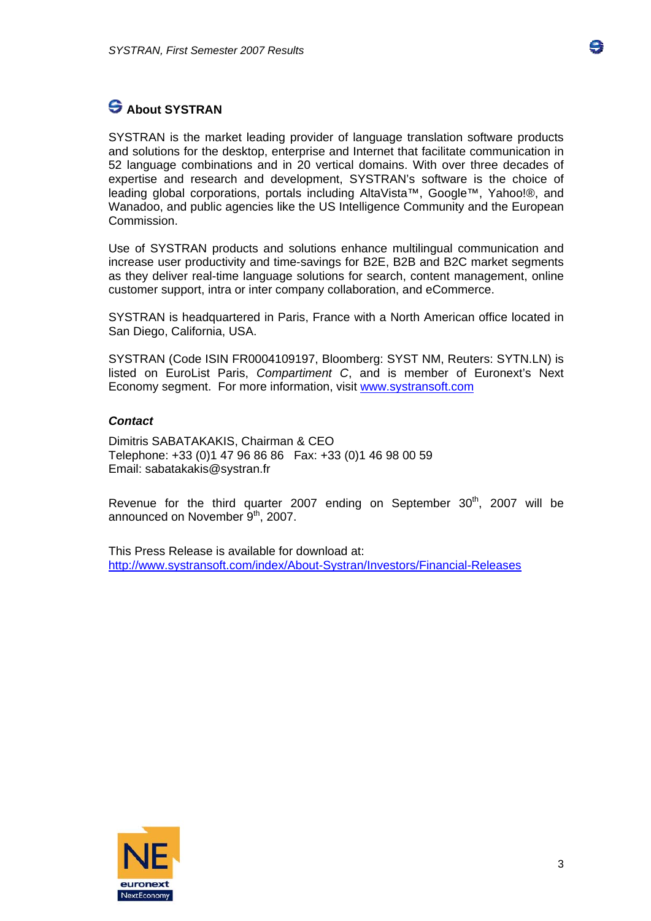

SYSTRAN is the market leading provider of language translation software products and solutions for the desktop, enterprise and Internet that facilitate communication in 52 language combinations and in 20 vertical domains. With over three decades of expertise and research and development, SYSTRAN's software is the choice of leading global corporations, portals including AltaVista™, Google™, Yahoo!®, and Wanadoo, and public agencies like the US Intelligence Community and the European Commission.

Use of SYSTRAN products and solutions enhance multilingual communication and increase user productivity and time-savings for B2E, B2B and B2C market segments as they deliver real-time language solutions for search, content management, online customer support, intra or inter company collaboration, and eCommerce.

SYSTRAN is headquartered in Paris, France with a North American office located in San Diego, California, USA.

SYSTRAN (Code ISIN FR0004109197, Bloomberg: SYST NM, Reuters: SYTN.LN) is listed on EuroList Paris, *Compartiment C*, and is member of Euronext's Next Economy segment. For more information, visit www.systransoft.com

## *Contact*

Dimitris SABATAKAKIS, Chairman & CEO Telephone: +33 (0)1 47 96 86 86 Fax: +33 (0)1 46 98 00 59 Email: sabatakakis@systran.fr

Revenue for the third quarter 2007 ending on September  $30<sup>th</sup>$ , 2007 will be announced on November  $9<sup>th</sup>$ , 2007.

This Press Release is available for download at: http://www.systransoft.com/index/About-Systran/Investors/Financial-Releases